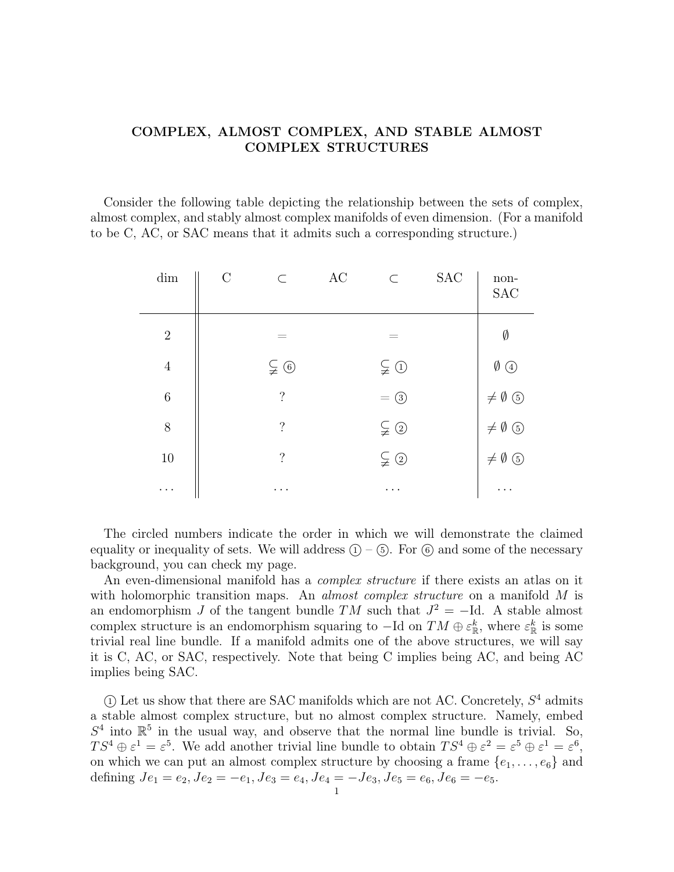## COMPLEX, ALMOST COMPLEX, AND STABLE ALMOST COMPLEX STRUCTURES

Consider the following table depicting the relationship between the sets of complex, almost complex, and stably almost complex manifolds of even dimension. (For a manifold to be C, AC, or SAC means that it admits such a corresponding structure.)

| dim            | $\mathcal{C}$ | $\subset$          | AC | $\subset$             | SAC | $non-$<br><b>SAC</b>     |
|----------------|---------------|--------------------|----|-----------------------|-----|--------------------------|
| $\sqrt{2}$     |               | $=$                |    |                       |     | Ø                        |
| $\overline{4}$ |               | $\subsetneqq$ 6    |    | $\subsetneqq$ ①       |     | $\emptyset$ 4            |
| $\,6$          |               | $\overline{\cdot}$ |    | $= ③$                 |     | $\neq \emptyset$ $\odot$ |
| 8              |               | $\overline{\cdot}$ |    | $\subsetneqq$ ②       |     | $\neq \emptyset$ $\odot$ |
| 10             |               | $\overline{\cdot}$ |    | $\subsetneqq$ $\odot$ |     | $\neq \emptyset$ $\odot$ |
| $\cdots$       |               | .                  |    | .                     |     | .                        |

The circled numbers indicate the order in which we will demonstrate the claimed equality or inequality of sets. We will address  $(1) - (5)$ . For  $(6)$  and some of the necessary background, you can check my page.

An even-dimensional manifold has a *complex structure* if there exists an atlas on it with holomorphic transition maps. An *almost complex structure* on a manifold M is an endomorphism J of the tangent bundle TM such that  $J^2 = -Id$ . A stable almost complex structure is an endomorphism squaring to  $-\text{Id}$  on  $TM \oplus \varepsilon_{\mathbb{R}}^k$ , where  $\varepsilon_{\mathbb{R}}^k$  is some trivial real line bundle. If a manifold admits one of the above structures, we will say it is C, AC, or SAC, respectively. Note that being C implies being AC, and being AC implies being SAC.

 $\Omega$  Let us show that there are SAC manifolds which are not AC. Concretely,  $S<sup>4</sup>$  admits a stable almost complex structure, but no almost complex structure. Namely, embed  $S<sup>4</sup>$  into  $\mathbb{R}<sup>5</sup>$  in the usual way, and observe that the normal line bundle is trivial. So,  $TS^4 \oplus \varepsilon^1 = \varepsilon^5$ . We add another trivial line bundle to obtain  $TS^4 \oplus \varepsilon^2 = \varepsilon^5 \oplus \varepsilon^1 = \varepsilon^6$ , on which we can put an almost complex structure by choosing a frame  $\{e_1, \ldots, e_6\}$  and defining  $Je_1 = e_2, Je_2 = -e_1, Je_3 = e_4, Je_4 = -Je_3, Je_5 = e_6, Je_6 = -e_5.$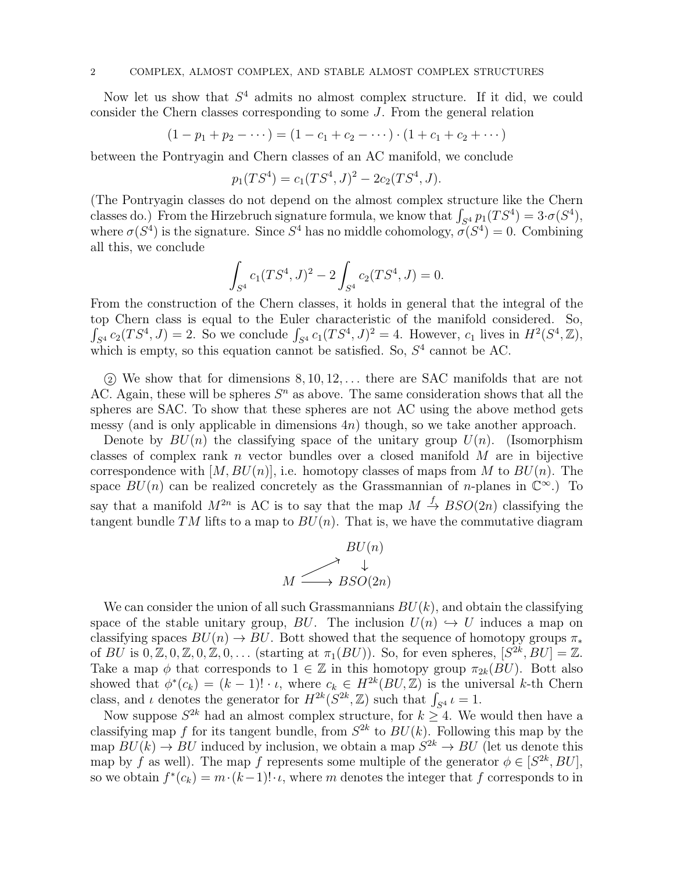## 2 COMPLEX, ALMOST COMPLEX, AND STABLE ALMOST COMPLEX STRUCTURES

Now let us show that  $S<sup>4</sup>$  admits no almost complex structure. If it did, we could consider the Chern classes corresponding to some J. From the general relation

$$
(1-p_1+p_2-\cdots)=(1-c_1+c_2-\cdots)\cdot(1+c_1+c_2+\cdots)
$$

between the Pontryagin and Chern classes of an AC manifold, we conclude

$$
p_1(TS^4) = c_1(TS^4, J)^2 - 2c_2(TS^4, J).
$$

(The Pontryagin classes do not depend on the almost complex structure like the Chern classes do.) From the Hirzebruch signature formula, we know that  $\int_{S^4} p_1(TS^4) = 3 \cdot \sigma(S^4)$ , where  $\sigma(S^4)$  is the signature. Since  $S^4$  has no middle cohomology,  $\sigma(S^4) = 0$ . Combining all this, we conclude

$$
\int_{S^4} c_1(TS^4, J)^2 - 2 \int_{S^4} c_2(TS^4, J) = 0.
$$

From the construction of the Chern classes, it holds in general that the integral of the top Chern class is equal to the Euler characteristic of the manifold considered. So,  $\int_{S^4} c_2(TS^4, J) = 2$ . So we conclude  $\int_{S^4} c_1(TS^4, J)^2 = 4$ . However,  $c_1$  lives in  $H^2(S^4, \mathbb{Z})$ , which is empty, so this equation cannot be satisfied. So,  $S<sup>4</sup>$  cannot be AC.

 $(2)$  We show that for dimensions  $8, 10, 12, \ldots$  there are SAC manifolds that are not AC. Again, these will be spheres  $S<sup>n</sup>$  as above. The same consideration shows that all the spheres are SAC. To show that these spheres are not AC using the above method gets messy (and is only applicable in dimensions  $4n$ ) though, so we take another approach.

Denote by  $BU(n)$  the classifying space of the unitary group  $U(n)$ . (Isomorphism classes of complex rank n vector bundles over a closed manifold  $M$  are in bijective correspondence with  $[M, BU(n)]$ , i.e. homotopy classes of maps from M to  $BU(n)$ . The space  $BU(n)$  can be realized concretely as the Grassmannian of *n*-planes in  $\mathbb{C}^{\infty}$ .) To say that a manifold  $M^{2n}$  is AC is to say that the map  $M \stackrel{f}{\rightarrow} BSO(2n)$  classifying the tangent bundle TM lifts to a map to  $BU(n)$ . That is, we have the commutative diagram



We can consider the union of all such Grassmannians  $BU(k)$ , and obtain the classifying space of the stable unitary group, BU. The inclusion  $U(n) \hookrightarrow U$  induces a map on classifying spaces  $BU(n) \to BU$ . Bott showed that the sequence of homotopy groups  $\pi_*$ of  $BU$  is  $0, \mathbb{Z}, 0, \mathbb{Z}, 0, \mathbb{Z}, 0, \ldots$  (starting at  $\pi_1(BU)$ ). So, for even spheres,  $[S^{2k}, BU] = \mathbb{Z}$ . Take a map  $\phi$  that corresponds to  $1 \in \mathbb{Z}$  in this homotopy group  $\pi_{2k}(BU)$ . Bott also showed that  $\phi^*(c_k) = (k-1)! \cdot \iota$ , where  $c_k \in H^{2k}(BU, \mathbb{Z})$  is the universal k-th Chern class, and  $\iota$  denotes the generator for  $H^{2k}(S^{2k}, \mathbb{Z})$  such that  $\int_{S^4} \iota = 1$ .

Now suppose  $S^{2k}$  had an almost complex structure, for  $k \geq 4$ . We would then have a classifying map f for its tangent bundle, from  $S^{2k}$  to  $BU(k)$ . Following this map by the map  $BU(k) \to BU$  induced by inclusion, we obtain a map  $S^{2k} \to BU$  (let us denote this map by f as well). The map f represents some multiple of the generator  $\phi \in [S^{2k}, BU]$ , so we obtain  $f^*(c_k) = m \cdot (k-1)! \cdot \iota$ , where m denotes the integer that f corresponds to in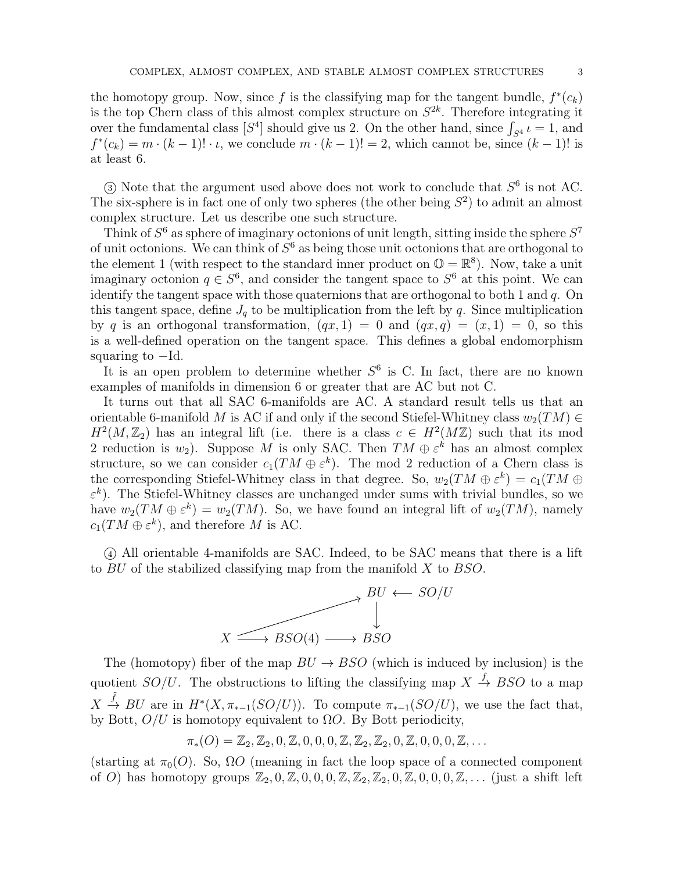the homotopy group. Now, since f is the classifying map for the tangent bundle,  $f^*(c_k)$ is the top Chern class of this almost complex structure on  $S^{2k}$ . Therefore integrating it over the fundamental class  $[S^4]$  should give us 2. On the other hand, since  $\int_{S^4} u = 1$ , and  $f^*(c_k) = m \cdot (k-1)! \cdot \iota$ , we conclude  $m \cdot (k-1)! = 2$ , which cannot be, since  $(k-1)!$  is at least 6.

 $\Im$  Note that the argument used above does not work to conclude that  $S^6$  is not AC. The six-sphere is in fact one of only two spheres (the other being  $S<sup>2</sup>$ ) to admit an almost complex structure. Let us describe one such structure.

Think of  $S^6$  as sphere of imaginary octonions of unit length, sitting inside the sphere  $S^7$ of unit octonions. We can think of  $S^6$  as being those unit octonions that are orthogonal to the element 1 (with respect to the standard inner product on  $\mathbb{O} = \mathbb{R}^8$ ). Now, take a unit imaginary octonion  $q \in S^6$ , and consider the tangent space to  $S^6$  at this point. We can identify the tangent space with those quaternions that are orthogonal to both 1 and  $q$ . On this tangent space, define  $J_q$  to be multiplication from the left by q. Since multiplication by q is an orthogonal transformation,  $(qx, 1) = 0$  and  $(qx, q) = (x, 1) = 0$ , so this is a well-defined operation on the tangent space. This defines a global endomorphism squaring to  $-Id$ .

It is an open problem to determine whether  $S^6$  is C. In fact, there are no known examples of manifolds in dimension 6 or greater that are AC but not C.

It turns out that all SAC 6-manifolds are AC. A standard result tells us that an orientable 6-manifold M is AC if and only if the second Stiefel-Whitney class  $w_2(TM) \in$  $H^2(M, \mathbb{Z}_2)$  has an integral lift (i.e. there is a class  $c \in H^2(M\mathbb{Z})$  such that its mod 2 reduction is  $w_2$ ). Suppose M is only SAC. Then  $TM \oplus \varepsilon^k$  has an almost complex structure, so we can consider  $c_1(TM \oplus \varepsilon^k)$ . The mod 2 reduction of a Chern class is the corresponding Stiefel-Whitney class in that degree. So,  $w_2(TM \oplus \varepsilon^k) = c_1(TM \oplus \varepsilon^k)$  $\varepsilon^k$ ). The Stiefel-Whitney classes are unchanged under sums with trivial bundles, so we have  $w_2(TM \oplus \varepsilon^k) = w_2(TM)$ . So, we have found an integral lift of  $w_2(TM)$ , namely  $c_1(TM \oplus \varepsilon^k)$ , and therefore M is AC.

 <sup>4</sup> All orientable 4-manifolds are SAC. Indeed, to be SAC means that there is a lift to BU of the stabilized classifying map from the manifold X to BSO.



The (homotopy) fiber of the map  $BU \rightarrow BSO$  (which is induced by inclusion) is the quotient  $SO/U$ . The obstructions to lifting the classifying map  $X \stackrel{f}{\rightarrow} BSO$  to a map  $X \stackrel{\tilde{f}}{\rightarrow} BU$  are in  $H^*(X, \pi_{*-1}(SO/U))$ . To compute  $\pi_{*-1}(SO/U)$ , we use the fact that, by Bott,  $O/U$  is homotopy equivalent to  $\Omega O$ . By Bott periodicity,

$$
\pi_*(O) = \mathbb{Z}_2, \mathbb{Z}_2, 0, \mathbb{Z}, 0, 0, 0, \mathbb{Z}, \mathbb{Z}_2, \mathbb{Z}_2, 0, \mathbb{Z}, 0, 0, 0, \mathbb{Z}, \dots
$$

(starting at  $\pi_0(O)$ . So,  $\Omega O$  (meaning in fact the loop space of a connected component of O) has homotopy groups  $\mathbb{Z}_2, 0, \mathbb{Z}, 0, 0, 0, \mathbb{Z}, \mathbb{Z}_2, \mathbb{Z}_2, 0, \mathbb{Z}, 0, 0, 0, \mathbb{Z}, \ldots$  (just a shift left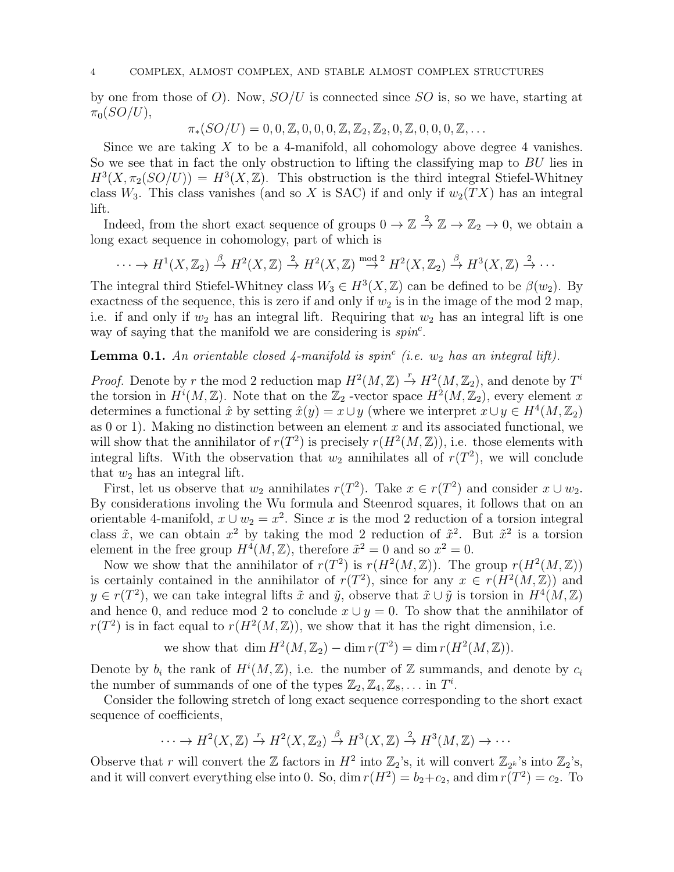by one from those of O). Now,  $SO/U$  is connected since SO is, so we have, starting at  $\pi_0(SO/U)$ ,

 $\pi_*(SO/U) = 0, 0, \mathbb{Z}, 0, 0, 0, \mathbb{Z}, \mathbb{Z}_2, \mathbb{Z}_2, 0, \mathbb{Z}, 0, 0, 0, \mathbb{Z}, \ldots$ 

Since we are taking  $X$  to be a 4-manifold, all cohomology above degree 4 vanishes. So we see that in fact the only obstruction to lifting the classifying map to BU lies in  $H^3(X, \pi_2(SO/U)) = H^3(X, \mathbb{Z})$ . This obstruction is the third integral Stiefel-Whitney class W<sub>3</sub>. This class vanishes (and so X is SAC) if and only if  $w_2(TX)$  has an integral lift.

Indeed, from the short exact sequence of groups  $0 \to \mathbb{Z} \stackrel{2}{\to} \mathbb{Z} \to \mathbb{Z}_2 \to 0$ , we obtain a long exact sequence in cohomology, part of which is

 $\cdots \to H^1(X,\mathbb{Z}_2) \stackrel{\beta}{\to} H^2(X,\mathbb{Z}) \stackrel{2}{\to} H^2(X,\mathbb{Z}) \stackrel{\text{mod }2}{\to} H^2(X,\mathbb{Z}_2) \stackrel{\beta}{\to} H^3(X,\mathbb{Z}) \stackrel{2}{\to} \cdots$ 

The integral third Stiefel-Whitney class  $W_3 \in H^3(X, \mathbb{Z})$  can be defined to be  $\beta(w_2)$ . By exactness of the sequence, this is zero if and only if  $w_2$  is in the image of the mod 2 map, i.e. if and only if  $w_2$  has an integral lift. Requiring that  $w_2$  has an integral lift is one way of saying that the manifold we are considering is  $spin<sup>c</sup>$ .

## **Lemma 0.1.** An orientable closed  $\downarrow$ -manifold is spin<sup>c</sup> (i.e.  $w_2$  has an integral lift).

*Proof.* Denote by r the mod 2 reduction map  $H^2(M, \mathbb{Z}) \stackrel{r}{\rightarrow} H^2(M, \mathbb{Z}_2)$ , and denote by  $T^i$ the torsion in  $H^{i}(M,\mathbb{Z})$ . Note that on the  $\mathbb{Z}_2$  -vector space  $H^{2}(M,\mathbb{Z}_2)$ , every element x determines a functional  $\hat{x}$  by setting  $\hat{x}(y) = x \cup y$  (where we interpret  $x \cup y \in H^4(M, \mathbb{Z}_2)$ as 0 or 1). Making no distinction between an element  $x$  and its associated functional, we will show that the annihilator of  $r(T^2)$  is precisely  $r(H^2(M, \mathbb{Z}))$ , i.e. those elements with integral lifts. With the observation that  $w_2$  annihilates all of  $r(T^2)$ , we will conclude that  $w_2$  has an integral lift.

First, let us observe that  $w_2$  annihilates  $r(T^2)$ . Take  $x \in r(T^2)$  and consider  $x \cup w_2$ . By considerations involing the Wu formula and Steenrod squares, it follows that on an orientable 4-manifold,  $x \cup w_2 = x^2$ . Since x is the mod 2 reduction of a torsion integral class  $\tilde{x}$ , we can obtain  $x^2$  by taking the mod 2 reduction of  $\tilde{x}^2$ . But  $\tilde{x}^2$  is a torsion element in the free group  $H^4(M, \mathbb{Z})$ , therefore  $\tilde{x}^2 = 0$  and so  $x^2 = 0$ .

Now we show that the annihilator of  $r(T^2)$  is  $r(H^2(M, \mathbb{Z}))$ . The group  $r(H^2(M, \mathbb{Z}))$ is certainly contained in the annihilator of  $r(T^2)$ , since for any  $x \in r(H^2(M,\mathbb{Z}))$  and  $y \in r(T^2)$ , we can take integral lifts  $\tilde{x}$  and  $\tilde{y}$ , observe that  $\tilde{x} \cup \tilde{y}$  is torsion in  $H^4(M, \mathbb{Z})$ and hence 0, and reduce mod 2 to conclude  $x \cup y = 0$ . To show that the annihilator of  $r(T^2)$  is in fact equal to  $r(H^2(M,\mathbb{Z}))$ , we show that it has the right dimension, i.e.

we show that  $\dim H^2(M, \mathbb{Z}_2) - \dim r(T^2) = \dim r(H^2(M, \mathbb{Z}))$ .

Denote by  $b_i$  the rank of  $H^i(M, \mathbb{Z})$ , i.e. the number of  $\mathbb Z$  summands, and denote by  $c_i$ the number of summands of one of the types  $\mathbb{Z}_2, \mathbb{Z}_4, \mathbb{Z}_8, \ldots$  in  $T^i$ .

Consider the following stretch of long exact sequence corresponding to the short exact sequence of coefficients,

$$
\cdots \to H^2(X,\mathbb{Z}) \xrightarrow{r} H^2(X,\mathbb{Z}_2) \xrightarrow{\beta} H^3(X,\mathbb{Z}) \xrightarrow{2} H^3(M,\mathbb{Z}) \to \cdots
$$

Observe that r will convert the  $\mathbb Z$  factors in  $H^2$  into  $\mathbb Z_2$ 's, it will convert  $\mathbb Z_{2^k}$ 's into  $\mathbb Z_2$ 's, and it will convert everything else into 0. So, dim  $r(H^2) = b_2 + c_2$ , and dim  $r(T^2) = c_2$ . To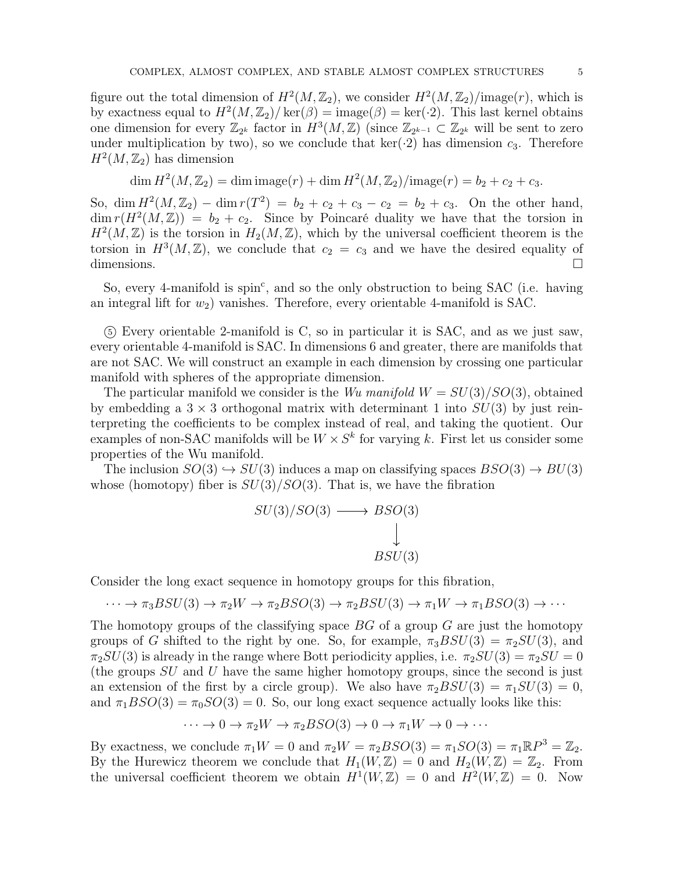figure out the total dimension of  $H^2(M, \mathbb{Z}_2)$ , we consider  $H^2(M, \mathbb{Z}_2)/\text{image}(r)$ , which is by exactness equal to  $H^2(M, \mathbb{Z}_2) / \text{ker}(\beta) = \text{image}(\beta) = \text{ker}(\cdot 2)$ . This last kernel obtains one dimension for every  $\mathbb{Z}_{2^k}$  factor in  $H^3(M,\mathbb{Z})$  (since  $\mathbb{Z}_{2^{k-1}}\subset \mathbb{Z}_{2^k}$  will be sent to zero under multiplication by two), so we conclude that  $\ker(\cdot, 2)$  has dimension  $c_3$ . Therefore  $H^2(M, \mathbb{Z}_2)$  has dimension

$$
\dim H^{2}(M, \mathbb{Z}_{2}) = \dim \text{image}(r) + \dim H^{2}(M, \mathbb{Z}_{2}) / \text{image}(r) = b_{2} + c_{2} + c_{3}.
$$

So, dim  $H^2(M, \mathbb{Z}_2) - \dim r(T^2) = b_2 + c_2 + c_3 - c_2 = b_2 + c_3$ . On the other hand,  $\dim r(H^2(M,\mathbb{Z})) = b_2 + c_2$ . Since by Poincaré duality we have that the torsion in  $H^2(M,\mathbb{Z})$  is the torsion in  $H_2(M,\mathbb{Z})$ , which by the universal coefficient theorem is the torsion in  $H^3(M, \mathbb{Z})$ , we conclude that  $c_2 = c_3$  and we have the desired equality of dimensions.

So, every 4-manifold is spin<sup>c</sup>, and so the only obstruction to being SAC (i.e. having an integral lift for  $w_2$ ) vanishes. Therefore, every orientable 4-manifold is SAC.

 <sup>5</sup> Every orientable 2-manifold is C, so in particular it is SAC, and as we just saw, every orientable 4-manifold is SAC. In dimensions 6 and greater, there are manifolds that are not SAC. We will construct an example in each dimension by crossing one particular manifold with spheres of the appropriate dimension.

The particular manifold we consider is the Wu manifold  $W = SU(3)/SO(3)$ , obtained by embedding a  $3 \times 3$  orthogonal matrix with determinant 1 into  $SU(3)$  by just reinterpreting the coefficients to be complex instead of real, and taking the quotient. Our examples of non-SAC manifolds will be  $W \times S^k$  for varying k. First let us consider some properties of the Wu manifold.

The inclusion  $SO(3) \hookrightarrow SU(3)$  induces a map on classifying spaces  $BSO(3) \rightarrow BU(3)$ whose (homotopy) fiber is  $SU(3)/SO(3)$ . That is, we have the fibration

$$
SU(3)/SO(3) \longrightarrow BSO(3)
$$
  
\n
$$
\downarrow
$$
  
\n
$$
BSU(3)
$$

Consider the long exact sequence in homotopy groups for this fibration,

$$
\cdots \to \pi_3 BSU(3) \to \pi_2 W \to \pi_2 BSO(3) \to \pi_2 BSU(3) \to \pi_1 W \to \pi_1 BSO(3) \to \cdots
$$

The homotopy groups of the classifying space  $BG$  of a group  $G$  are just the homotopy groups of G shifted to the right by one. So, for example,  $\pi_3 BSU(3) = \pi_2 SU(3)$ , and  $\pi_2SU(3)$  is already in the range where Bott periodicity applies, i.e.  $\pi_2SU(3) = \pi_2SU = 0$ (the groups SU and U have the same higher homotopy groups, since the second is just an extension of the first by a circle group). We also have  $\pi_2 BSU(3) = \pi_1 SU(3) = 0$ , and  $\pi_1 BSO(3) = \pi_0 SO(3) = 0$ . So, our long exact sequence actually looks like this:

$$
\cdots \to 0 \to \pi_2 W \to \pi_2 BSO(3) \to 0 \to \pi_1 W \to 0 \to \cdots
$$

By exactness, we conclude  $\pi_1 W = 0$  and  $\pi_2 W = \pi_2 BSO(3) = \pi_1 SO(3) = \pi_1 \mathbb{R}P^3 = \mathbb{Z}_2$ . By the Hurewicz theorem we conclude that  $H_1(W, \mathbb{Z}) = 0$  and  $H_2(W, \mathbb{Z}) = \mathbb{Z}_2$ . From the universal coefficient theorem we obtain  $H^1(W, \mathbb{Z}) = 0$  and  $H^2(W, \mathbb{Z}) = 0$ . Now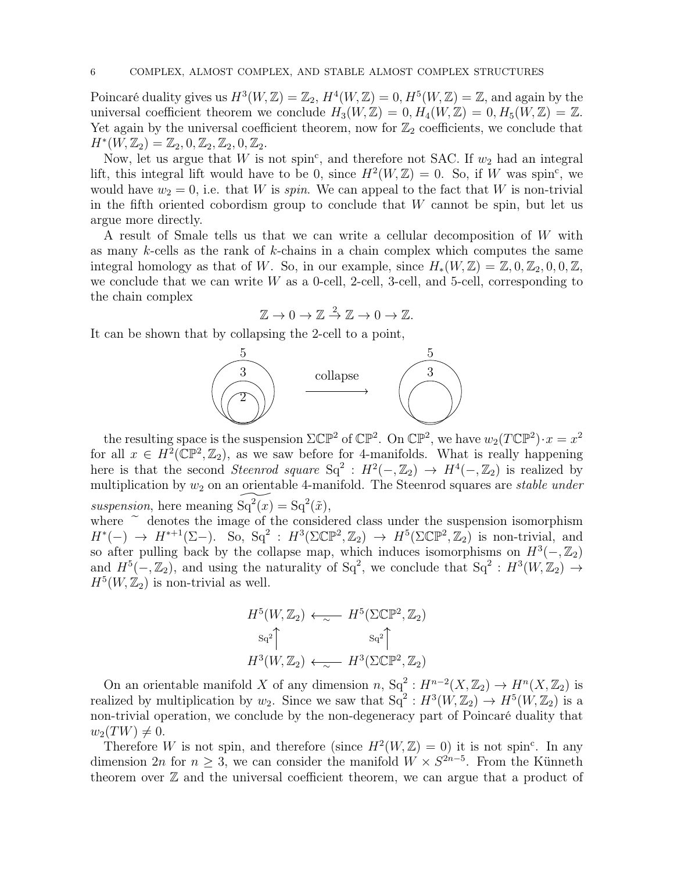Poincaré duality gives us  $H^3(W, \mathbb{Z}) = \mathbb{Z}_2$ ,  $H^4(W, \mathbb{Z}) = 0$ ,  $H^5(W, \mathbb{Z}) = \mathbb{Z}$ , and again by the universal coefficient theorem we conclude  $H_3(W, \mathbb{Z}) = 0, H_4(W, \mathbb{Z}) = 0, H_5(W, \mathbb{Z}) = \mathbb{Z}$ . Yet again by the universal coefficient theorem, now for  $\mathbb{Z}_2$  coefficients, we conclude that  $H^*(W, \mathbb{Z}_2) = \mathbb{Z}_2, 0, \mathbb{Z}_2, \mathbb{Z}_2, 0, \mathbb{Z}_2.$ 

Now, let us argue that W is not spin<sup>c</sup>, and therefore not SAC. If  $w_2$  had an integral lift, this integral lift would have to be 0, since  $H^2(W, \mathbb{Z}) = 0$ . So, if W was spin<sup>c</sup>, we would have  $w_2 = 0$ , i.e. that W is spin. We can appeal to the fact that W is non-trivial in the fifth oriented cobordism group to conclude that  $W$  cannot be spin, but let us argue more directly.

A result of Smale tells us that we can write a cellular decomposition of W with as many k-cells as the rank of k-chains in a chain complex which computes the same integral homology as that of W. So, in our example, since  $H_*(W, \mathbb{Z}) = \mathbb{Z}, 0, \mathbb{Z}_2, 0, 0, \mathbb{Z}$ , we conclude that we can write  $W$  as a 0-cell, 2-cell, 3-cell, and 5-cell, corresponding to the chain complex

$$
\mathbb{Z} \to 0 \to \mathbb{Z} \stackrel{2}{\to} \mathbb{Z} \to 0 \to \mathbb{Z}.
$$

It can be shown that by collapsing the 2-cell to a point,



the resulting space is the suspension  $\Sigma \mathbb{CP}^2$  of  $\mathbb{CP}^2$ . On  $\mathbb{CP}^2$ , we have  $w_2(T\mathbb{CP}^2) \cdot x = x^2$ for all  $x \in H^2(\mathbb{CP}^2, \mathbb{Z}_2)$ , as we saw before for 4-manifolds. What is really happening here is that the second *Steenrod square*  $Sq^2$ :  $H^2(-, \mathbb{Z}_2) \rightarrow H^4(-, \mathbb{Z}_2)$  is realized by multiplication by  $w_2$  on an orientable 4-manifold. The Steenrod squares are *stable under* suspension, here meaning  $\widetilde{\operatorname{Sq}^2(x)} = \operatorname{Sq}^2(\tilde{x}),$ 

where  $\tilde{ }$  denotes the image of the considered class under the suspension isomorphism  $H^*(-) \to H^{*+1}(\Sigma-)$ . So, Sq<sup>2</sup>:  $H^3(\Sigma \mathbb{CP}^2, \mathbb{Z}_2) \to H^5(\Sigma \mathbb{CP}^2, \mathbb{Z}_2)$  is non-trivial, and so after pulling back by the collapse map, which induces isomorphisms on  $H^3(-, \mathbb{Z}_2)$ and  $H^5(-,\mathbb{Z}_2)$ , and using the naturality of Sq<sup>2</sup>, we conclude that Sq<sup>2</sup>:  $H^3(W,\mathbb{Z}_2) \rightarrow$  $H^5(W, \mathbb{Z}_2)$  is non-trivial as well.

$$
H^5(W, \mathbb{Z}_2) \longleftrightarrow H^5(\Sigma \mathbb{CP}^2, \mathbb{Z}_2)
$$
  
\n
$$
s_q^2 \uparrow \qquad s_q^2 \uparrow
$$
  
\n
$$
H^3(W, \mathbb{Z}_2) \longleftrightarrow H^3(\Sigma \mathbb{CP}^2, \mathbb{Z}_2)
$$

On an orientable manifold X of any dimension  $n, Sq^2: H^{n-2}(X, \mathbb{Z}_2) \to H^n(X, \mathbb{Z}_2)$  is realized by multiplication by  $w_2$ . Since we saw that  $Sq^2: H^3(W, \mathbb{Z}_2) \to H^5(W, \mathbb{Z}_2)$  is a non-trivial operation, we conclude by the non-degeneracy part of Poincaré duality that  $w_2(TW) \neq 0.$ 

Therefore W is not spin, and therefore (since  $H^2(W, \mathbb{Z}) = 0$ ) it is not spin<sup>c</sup>. In any dimension 2n for  $n \geq 3$ , we can consider the manifold  $W \times S^{2n-5}$ . From the Künneth theorem over  $\mathbb Z$  and the universal coefficient theorem, we can argue that a product of